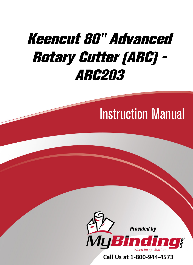# Keencut 80" Advanced [Rotary Cutter \(ARC\) -](https://www.mybinding.com/foster-keencut-80-advanced-rotary-cutter-60613.html)  ARC203

## Instruction Manual



Call Us at 1-800-944-4573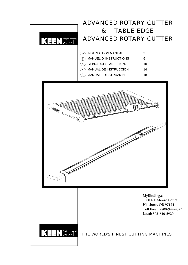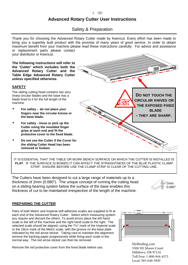## **Advanced Rotary Cutter User Instructions**

2 GB

## Safety & Preparation

Thank you for choosing the Advanced Rotary Cutter made by Keencut. Every effort has been made to bring you a superbly built product with the promise of many years of good service. In order to obtain maximum benefit from your machine please read these instructions carefully. For advice and assistance or replacement parts please contact

your distributor or Keencut.

**The following instructions will refer to the 'Cutter' which includes both the Advanced Rotary Cutter and the Table Edge Advanced Rotary Cutter unless specified otherwise.**

#### **SAFETY**

The sliding cutting head contains two very sharp circular blades and the base has a blade fixed to it for the full length of the machine.

- **For safety do not place your fingers near the circular knives or the base blade.**
- **For safety move or pick up the Cutter using the moulded finger grips at each end and fit the protective cover to the fixed blade.**
- **Do not use the Cutter if the Cover for the sliding Cutter Head has been removed or broken.**

**DO NOT TOUCH THE CIRCULAR KNIVES OR THE EXPOSED FIXED BLADE**

**- THEY ARE SHARP.**

IT IS ESSENTIAL THAT THE TABLE OR WORK BENCH SURFACE ON WHICH THE CUTTER IS INSTALLED IS **FLAT**. IF THE SURFACE IS BOWED IT CAN AFFECT THE STRAIGHTNESS OF THE BLUE PLASTIC CLAMP STRIP. ENSURE BEFORE USE THE CLAMP STRIP IS CLEAR OF THE CUTTING LINE.

The Cutters have been designed to cut a large range of materials up to a thickness of 2mm (0.080"). The unique concept of running the cutting head on a sliding bearing system below the surface of the base enables this thickness of cut to be maintained irrespective of the length of the machine.



### **PREPARING THE CUTTER**

Pairs of both Metric and Imperial self-adhesive scales are supplied to fit at each end of the Advanced Rotary Cutter. Select which measuring system you require and discard the others. To avoid errors place the left hand scale to the left of the machine and the right hand scale to the right. The selected scale should be aligned, using the 7½" mark of the Imperial scale or the 19cm mark of the Metric scale, with the groove on the base plate indicated by the red arrow sticker. Taking care to maintain the alignment remove the backing paper progressively while fixing each scale in the normal way. The red arrow sticker can then be removed.

Remove the red protective cover from the fixed blade before use.



[MyBinding.com](http://www.mybinding.com) 5500 NE Moore Court Hillsboro, OR 97124 Toll Free: 1-800-944-4573 Local: 503-640-5920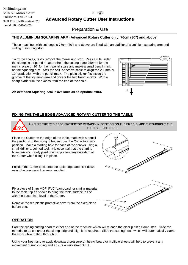### **Advanced Rotary Cutter User Instructions**

Preparation & Use

#### **THE ALUMINIUM SQUARING ARM (Advanced Rotary Cutter only, 76cm (30") and above)**

Those machines with cut lengths 76cm (30") and above are fitted with an additional aluminium squaring arm and sliding measuring stop.

To fix the scales, firstly remove the measuring stop. Pass a rule under the clamping strip and measure from the cutting edge 250mm for the metric scale or 10" for the Imperial scale and make a small pencil mark on the squaring arm. Affix the self -adhesive scale to align the 250mm or 10" graduation with the pencil mark. The plain sticker fits inside the groove of the squaring arm and covers the two fixing screws. With a sharp blade trim the excess from the end of the scale.



**An extended Squaring Arm is available as an optional extra.**

#### **FIXING THE TABLE EDGE ADVANCED ROTARY CUTTER TO THE TABLE**

**ENSURE THE RED EDGE PROTECTOR REMAINS IN POSITION ON THE FIXED BLADE THROUGHOUT THE FITTING PROCEDURE.** 

Place the Cutter on the edge of the table, mark with a pencil the positions of the fixing holes, remove the Cutter to a safe position. Make a starting hole for each of the screws using a small drill or a pointed tool. It is essential that the starting holes are accurately positioned to prevent any distortion of the Cutter when fixing it in place.

Position the Cutter back onto the table edge and fix it down using the countersink screws supplied.

Fix a piece of 3mm MDF, PVC foamboard, or similar material to the table top as shown to bring the table surface in line with the base plate level of the Cutter.

Remove the red plastic protective cover from the fixed blade before use.





#### **OPERATION**

Park the sliding cutting head at either end of the machine which will release the clear plastic clamp strip. Slide the material to be cut under the clamp strip and align it as required. Slide the cutting head which will automatically clamp the work while cutting through it.

Using your free hand to apply downward pressure on heavy board or multiple sheets will help to prevent any movement during cutting and ensure a very straight cut.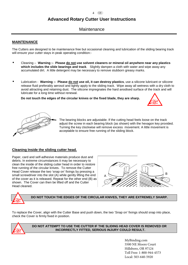#### 4 GB

## **Advanced Rotary Cutter User Instructions**

## **Maintenance**

#### **MAINTENANCE**

The Cutters are designed to be maintenance free but occasional cleaning and lubrication of the sliding bearing track will ensure your cutter stays in peak operating condition:-

- Cleaning **Warning :- Please do not use solvent cleaners or mineral oil anywhere near any plastics which includes the slide bearings and track**. Slightly dampen a cloth with water and wipe away any accumulated dirt. A little detergent may be necessary to remove stubborn greasy marks.
- Lubrication **Warning :- Please do not use oil, it can destroy plastics**, use a silicone lubricant or silicone release fluid preferably aerosol and lightly apply to the sliding track. Wipe away all wetness with a dry cloth to avoid attracting and retaining dust. The silicone impregnates the hard anodised surface of the track and will lubricate for a long time without renewal.

**Do not touch the edges of the circular knives or the fixed blade, they are sharp.**





The bearing blocks are adjustable. If the cutting head feels loose on the track adjust the screw in each bearing block (as shown) with the hexagon key provided. Turning the key clockwise will remove excess movement. A little movement is acceptable to ensure free running of the sliding block.

#### **Cleaning Inside the sliding cutter head.**

Paper, card and self-adhesive materials produce dust and debris. In extreme circumstances it may be necessary to clean the inside of the sliding cutter head in order to restore free running of the circular knives. To remove the Cutter Head Cover release the two 'snap on' fixings by pressing a small screwdriver into the slot (A) while gently lifting the end of the cover as it is released. Repeat for the other end (B) as shown. The Cover can then be lifted off and the Cutter Head cleaned.





**DO NOT TOUCH THE EDGES OF THE CIRCULAR KNIVES, THEY ARE EXTREMELY SHARP.** 

To replace the Cover, align with the Cutter Base and push down, the two 'Snap on' fixings should snap into place, check the Cover is firmly fixed in position.



#### **DO NOT ATTEMPT TO USE THE CUTTER IF THE SLIDING HEAD COVER IS REMOVED OR INCORRECTLY FITTED, SERIOUS INJURY COULD RESULT.**

[MyBinding.com](http://www.mybinding.com) 5500 NE Moore Court Hillsboro, OR 97124 Toll Free: 1-800-944-4573 Local: 503-640-5920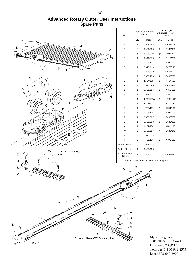## **Advanced Rotary Cutter User Instructions**

5 GB

Spare Parts



5500 NE Moore Court Hillsboro, OR 97124 Toll Free: 1-800-944-4573 Local: 503-640-5920